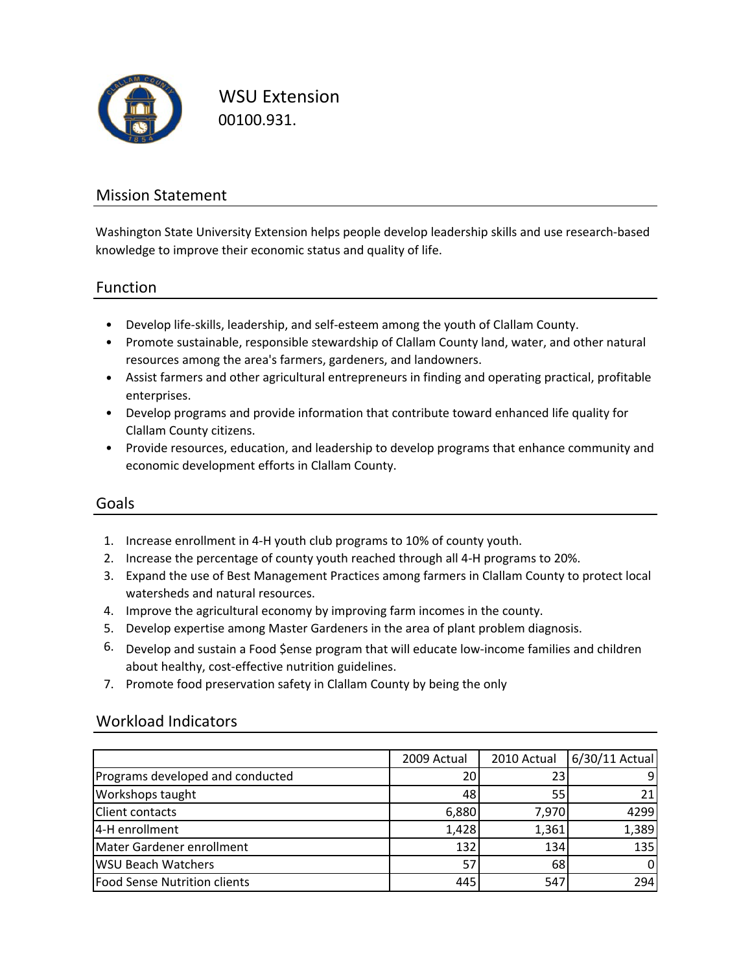

WSU Extension 00100.931.

### Mission Statement

Washington State University Extension helps people develop leadership skills and use research‐based knowledge to improve their economic status and quality of life.

### Function

- Develop life‐skills, leadership, and self‐esteem among the youth of Clallam County.
- Promote sustainable, responsible stewardship of Clallam County land, water, and other natural resources among the area's farmers, gardeners, and landowners.
- Assist farmers and other agricultural entrepreneurs in finding and operating practical, profitable enterprises.
- Develop programs and provide information that contribute toward enhanced life quality for Clallam County citizens.
- Provide resources, education, and leadership to develop programs that enhance community and economic development efforts in Clallam County.

### Goals

- 1. Increase enrollment in 4‐H youth club programs to 10% of county youth.
- 2. Increase the percentage of county youth reached through all 4‐H programs to 20%.
- 3. Expand the use of Best Management Practices among farmers in Clallam County to protect local watersheds and natural resources.
- 4. Improve the agricultural economy by improving farm incomes in the county.
- 5. Develop expertise among Master Gardeners in the area of plant problem diagnosis.
- 6. Develop and sustain a Food \$ense program that will educate low‐income families and children about healthy, cost-effective nutrition guidelines.
- 7. Promote food preservation safety in Clallam County by being the only

### Workload Indicators

|                                     | 2009 Actual | 2010 Actual | 6/30/11 Actual |
|-------------------------------------|-------------|-------------|----------------|
| Programs developed and conducted    | <b>20</b>   |             |                |
| Workshops taught                    | 48          | 55          | 21             |
| <b>Client contacts</b>              | 6,880       | 7,970       | 4299           |
| 4-H enrollment                      | 1,428       | 1,361       | 1,389          |
| Mater Gardener enrollment           | 132         | 134         | 135            |
| <b>WSU Beach Watchers</b>           | 57          | 68          | $\Omega$       |
| <b>Food Sense Nutrition clients</b> | 445         | 547         | 294            |